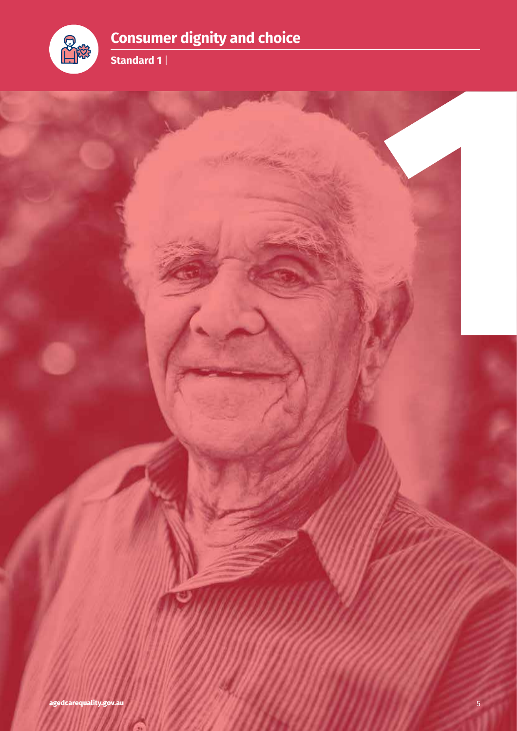



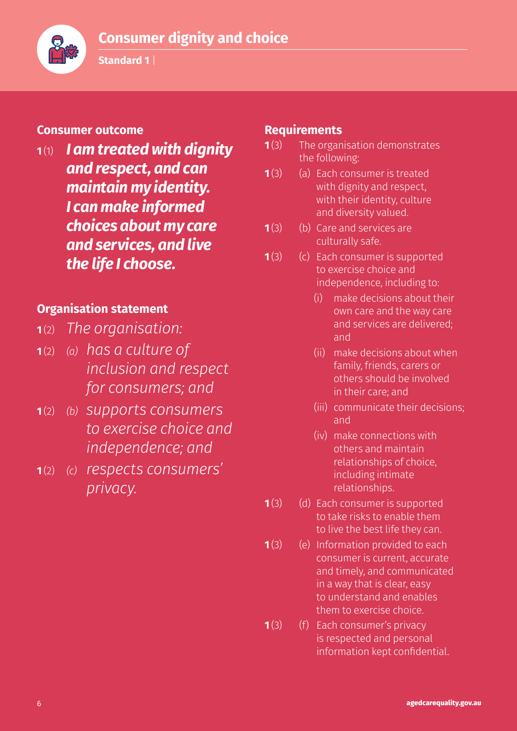

**Standard 1** |

### **Consumer outcome**

**<sup>1</sup>**(1) *I am treated with dignity and respect, and can maintain my identity. I can make informed choices about my care and services, and live the life I choose.*

### **Organisation statement**

- **<sup>1</sup>**(2) *The organisation:*
- **<sup>1</sup>**(2) *(a) has a culture of inclusion and respect for consumers; and*
- **<sup>1</sup>**(2) *(b) supports consumers to exercise choice and independence; and*
- **<sup>1</sup>**(2) *(c) respects consumers' privacy.*

### **Requirements**

- **1**(3) The organisation demonstrates the following:
- **1**(3) (a) Each consumer is treated with dignity and respect, with their identity, culture and diversity valued.
- **1**(3) (b) Care and services are culturally safe.
- **1**(3) (c) Each consumer is supported to exercise choice and independence, including to:
	- (i) make decisions about their own care and the way care and services are delivered; and
	- (ii) make decisions about when family, friends, carers or others should be involved in their care; and
	- (iii) communicate their decisions; and
	- (iv) make connections with others and maintain relationships of choice, including intimate relationships.
- **1**(3) (d) Each consumer is supported to take risks to enable them to live the best life they can.
- **1**(3) (e) Information provided to each consumer is current, accurate and timely, and communicated in a way that is clear, easy to understand and enables them to exercise choice.
- **1**(3) (f) Each consumer's privacy is respected and personal information kept confidential.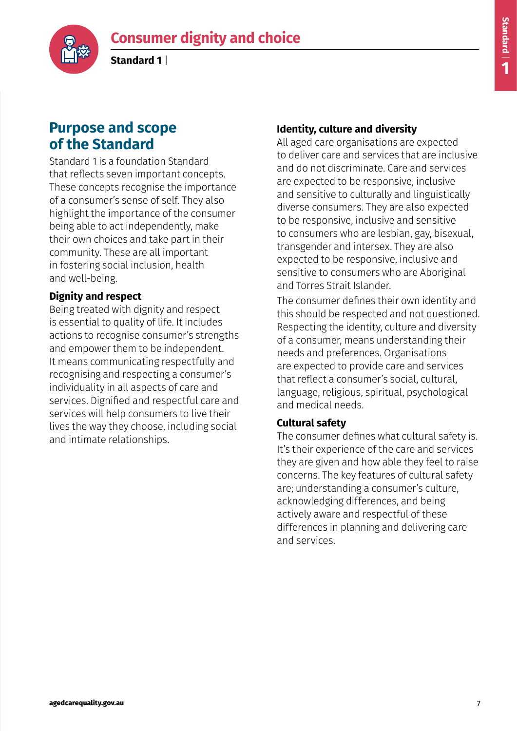

**Standard 1** |

# **Purpose and scope of the Standard**

Standard 1 is a foundation Standard that reflects seven important concepts. These concepts recognise the importance of a consumer's sense of self. They also highlight the importance of the consumer being able to act independently, make their own choices and take part in their community. These are all important in fostering social inclusion, health and well-being.

### **Dignity and respect**

Being treated with dignity and respect is essential to quality of life. It includes actions to recognise consumer's strengths and empower them to be independent. It means communicating respectfully and recognising and respecting a consumer's individuality in all aspects of care and services. Dignified and respectful care and services will help consumers to live their lives the way they choose, including social and intimate relationships.

### **Identity, culture and diversity**

All aged care organisations are expected to deliver care and services that are inclusive and do not discriminate. Care and services are expected to be responsive, inclusive and sensitive to culturally and linguistically diverse consumers. They are also expected to be responsive, inclusive and sensitive to consumers who are lesbian, gay, bisexual, transgender and intersex. They are also expected to be responsive, inclusive and sensitive to consumers who are Aboriginal and Torres Strait Islander.

The consumer defines their own identity and this should be respected and not questioned. Respecting the identity, culture and diversity of a consumer, means understanding their needs and preferences. Organisations are expected to provide care and services that reflect a consumer's social, cultural, language, religious, spiritual, psychological and medical needs.

### **Cultural safety**

The consumer defines what cultural safety is. It's their experience of the care and services they are given and how able they feel to raise concerns. The key features of cultural safety are; understanding a consumer's culture, acknowledging differences, and being actively aware and respectful of these differences in planning and delivering care and services.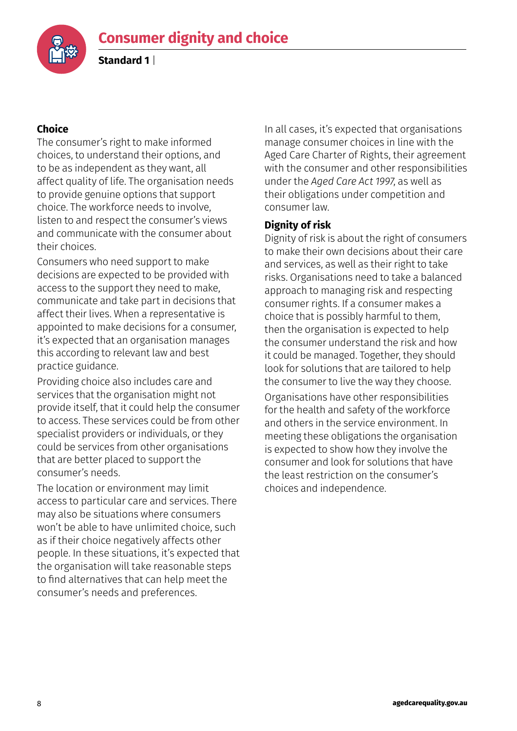**Standard 1** |



### **Choice**

The consumer's right to make informed choices, to understand their options, and to be as independent as they want, all affect quality of life. The organisation needs to provide genuine options that support choice. The workforce needs to involve, listen to and respect the consumer's views and communicate with the consumer about their choices.

Consumers who need support to make decisions are expected to be provided with access to the support they need to make, communicate and take part in decisions that affect their lives. When a representative is appointed to make decisions for a consumer, it's expected that an organisation manages this according to relevant law and best practice guidance.

Providing choice also includes care and services that the organisation might not provide itself, that it could help the consumer to access. These services could be from other specialist providers or individuals, or they could be services from other organisations that are better placed to support the consumer's needs.

The location or environment may limit access to particular care and services. There may also be situations where consumers won't be able to have unlimited choice, such as if their choice negatively affects other people. In these situations, it's expected that the organisation will take reasonable steps to find alternatives that can help meet the consumer's needs and preferences.

In all cases, it's expected that organisations manage consumer choices in line with the Aged Care Charter of Rights, their agreement with the consumer and other responsibilities under the *Aged Care Act 1997*, as well as their obligations under competition and consumer law.

#### **Dignity of risk**

Dignity of risk is about the right of consumers to make their own decisions about their care and services, as well as their right to take risks. Organisations need to take a balanced approach to managing risk and respecting consumer rights. If a consumer makes a choice that is possibly harmful to them, then the organisation is expected to help the consumer understand the risk and how it could be managed. Together, they should look for solutions that are tailored to help the consumer to live the way they choose.

Organisations have other responsibilities for the health and safety of the workforce and others in the service environment. In meeting these obligations the organisation is expected to show how they involve the consumer and look for solutions that have the least restriction on the consumer's choices and independence.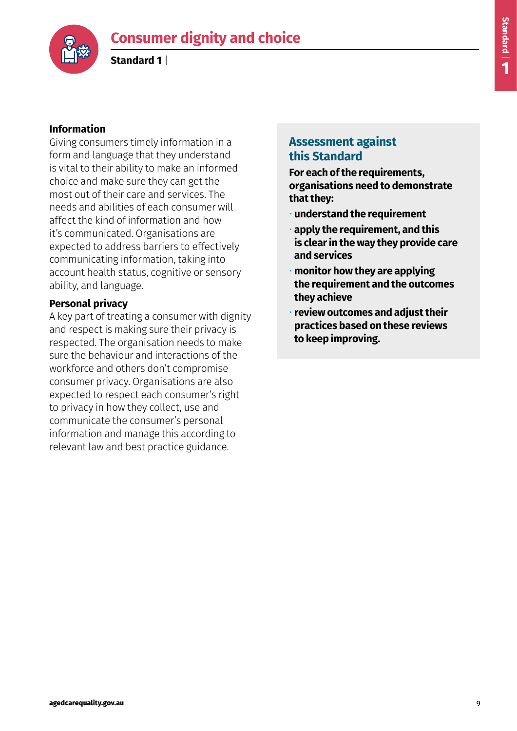

**Standard 1** |



#### **Information**

Giving consumers timely information in a form and language that they understand is vital to their ability to make an informed choice and make sure they can get the most out of their care and services. The needs and abilities of each consumer will affect the kind of information and how it's communicated. Organisations are expected to address barriers to effectively communicating information, taking into account health status, cognitive or sensory ability, and language.

### **Personal privacy**

A key part of treating a consumer with dignity and respect is making sure their privacy is respected. The organisation needs to make sure the behaviour and interactions of the workforce and others don't compromise consumer privacy. Organisations are also expected to respect each consumer's right to privacy in how they collect, use and communicate the consumer's personal information and manage this according to relevant law and best practice guidance.

### **Assessment against this Standard**

**For each of the requirements, organisations need to demonstrate that they:**

- **understand the requirement**
- **apply the requirement, and this is clear in the way they provide care and services**
- **monitor how they are applying the requirement and the outcomes they achieve**
- **review outcomes and adjust their practices based on these reviews to keep improving.**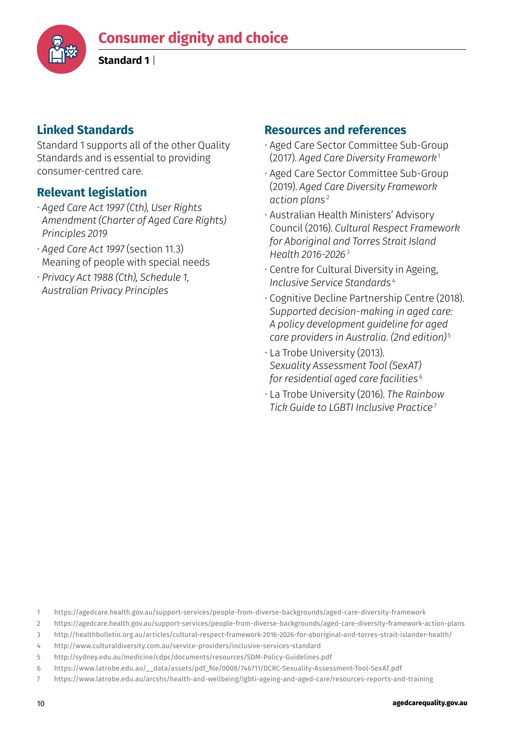

**Standard 1** |

### **Linked Standards**

Standard 1 supports all of the other Quality Standards and is essential to providing consumer-centred care.

# **Relevant legislation**

- *Aged Care Act 1997 (Cth), User Rights Amendment (Charter of Aged Care Rights) Principles 2019*
- *Aged Care Act 1997* (section 11.3) Meaning of people with special needs
- *Privacy Act 1988 (Cth), Schedule 1, Australian Privacy Principles*

### **Resources and references**

- Aged Care Sector Committee Sub-Group (2017). *Aged Care Diversity Framework*<sup>1</sup>
- Aged Care Sector Committee Sub-Group (2019). *Aged Care Diversity Framework action plans*<sup>2</sup>
- Australian Health Ministers' Advisory Council (2016). *Cultural Respect Framework for Aboriginal and Torres Strait Island Health 2016-2026*<sup>3</sup>
- Centre for Cultural Diversity in Ageing, *Inclusive Service Standards*<sup>4</sup>
- Cognitive Decline Partnership Centre (2018). *Supported decision-making in aged care: A policy development guideline for aged care providers in Australia. (2nd edition)*<sup>5</sup>
- La Trobe University (2013). *Sexuality Assessment Tool (SexAT) for residential aged care facilities*<sup>6</sup>
- La Trobe University (2016). *The Rainbow Tick Guide to LGBTI Inclusive Practice*<sup>7</sup>

1 https://agedcare.health.gov.au/support-services/people-from-diverse-backgrounds/aged-care-diversity-framework

2 https://agedcare.health.gov.au/support-services/people-from-diverse-backgrounds/aged-care-diversity-framework-action-plans

- 3 http://healthbulletin.org.au/articles/cultural-respect-framework-2016-2026-for-aboriginal-and-torres-strait-islander-health/
- 4 http://www.culturaldiversity.com.au/service-providers/inclusive-services-standard
- 5 http://sydney.edu.au/medicine/cdpc/documents/resources/SDM-Policy-Guidelines.pdf
- 6 https://www.latrobe.edu.au/\_\_data/assets/pdf\_file/0008/746711/DCRC-Sexuality-Assessment-Tool-SexAT.pdf
- 7 https://www.latrobe.edu.au/arcshs/health-and-wellbeing/lgbti-ageing-and-aged-care/resources-reports-and-training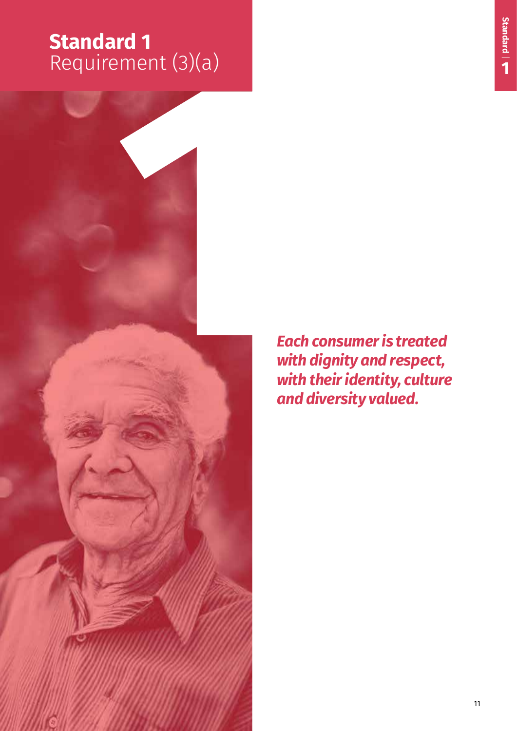# **Standard 1**  Requirement (3)(a)



*Each consumer is treated with dignity and respect, with their identity, culture and diversity valued.*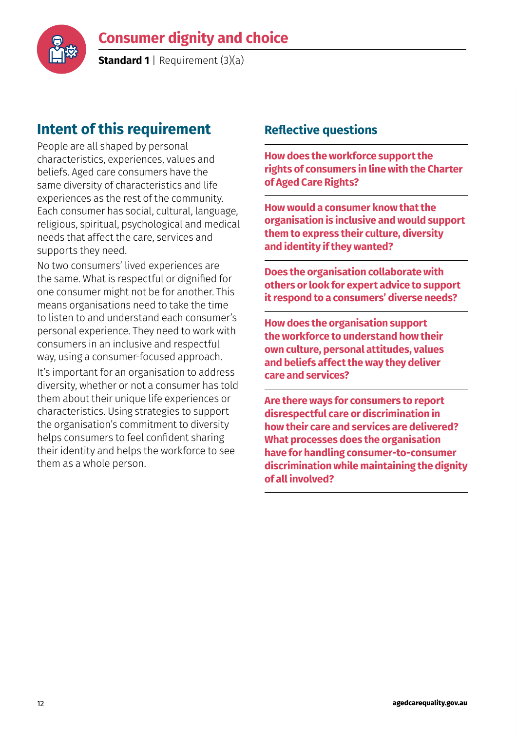

**Standard 1** | Requirement (3)(a)

# **Intent of this requirement**

People are all shaped by personal characteristics, experiences, values and beliefs. Aged care consumers have the same diversity of characteristics and life experiences as the rest of the community. Each consumer has social, cultural, language, religious, spiritual, psychological and medical needs that affect the care, services and supports they need.

No two consumers' lived experiences are the same. What is respectful or dignified for one consumer might not be for another. This means organisations need to take the time to listen to and understand each consumer's personal experience. They need to work with consumers in an inclusive and respectful way, using a consumer-focused approach.

It's important for an organisation to address diversity, whether or not a consumer has told them about their unique life experiences or characteristics. Using strategies to support the organisation's commitment to diversity helps consumers to feel confident sharing their identity and helps the workforce to see them as a whole person.

### **Reflective questions**

**How does the workforce support the rights of consumers in line with the Charter of Aged Care Rights?**

**How would a consumer know that the organisation is inclusive and would support them to express their culture, diversity and identity if they wanted?**

**Does the organisation collaborate with others or look for expert advice to support it respond to a consumers' diverse needs?**

**How does the organisation support the workforce to understand how their own culture, personal attitudes, values and beliefs affect the way they deliver care and services?**

**Are there ways for consumers to report disrespectful care or discrimination in how their care and services are delivered? What processes does the organisation have for handling consumer-to-consumer discrimination while maintaining the dignity of all involved?**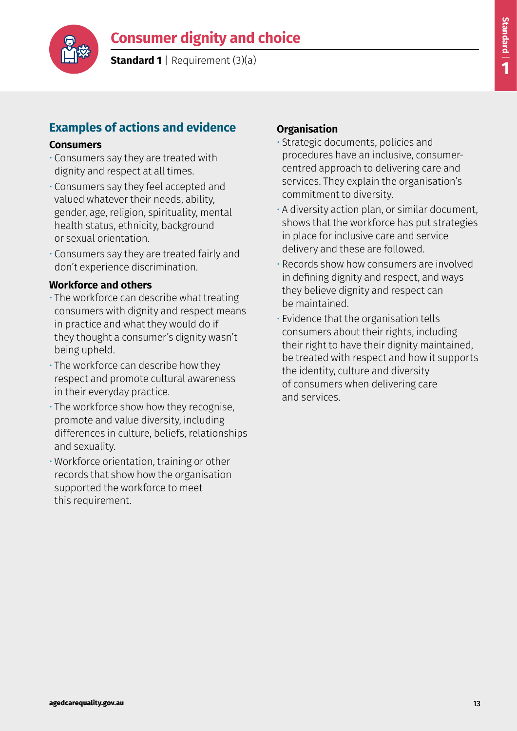



**Standard 1** | Requirement (3)(a)

# **Examples of actions and evidence**

#### **Consumers**

- Consumers say they are treated with dignity and respect at all times.
- Consumers say they feel accepted and valued whatever their needs, ability, gender, age, religion, spirituality, mental health status, ethnicity, background or sexual orientation.
- Consumers say they are treated fairly and don't experience discrimination.

### **Workforce and others**

- The workforce can describe what treating consumers with dignity and respect means in practice and what they would do if they thought a consumer's dignity wasn't being upheld.
- The workforce can describe how they respect and promote cultural awareness in their everyday practice.
- The workforce show how they recognise, promote and value diversity, including differences in culture, beliefs, relationships and sexuality.
- Workforce orientation, training or other records that show how the organisation supported the workforce to meet this requirement.

- Strategic documents, policies and procedures have an inclusive, consumercentred approach to delivering care and services. They explain the organisation's commitment to diversity.
- A diversity action plan, or similar document, shows that the workforce has put strategies in place for inclusive care and service delivery and these are followed.
- Records show how consumers are involved in defining dignity and respect, and ways they believe dignity and respect can be maintained.
- Evidence that the organisation tells consumers about their rights, including their right to have their dignity maintained, be treated with respect and how it supports the identity, culture and diversity of consumers when delivering care and services.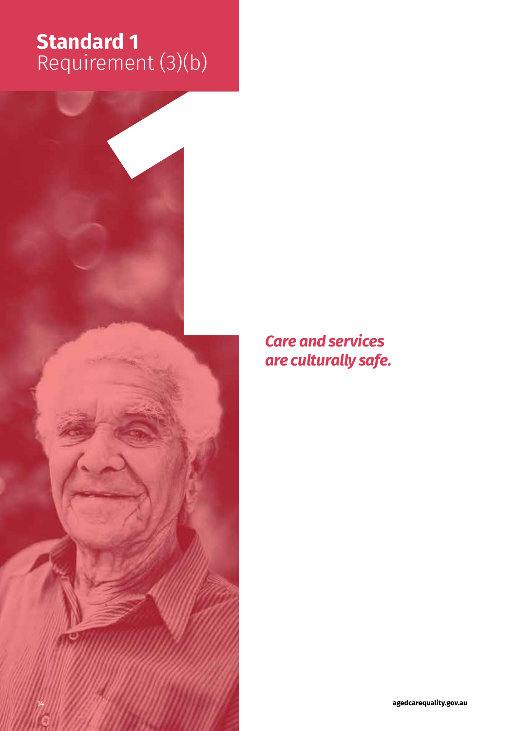# **Standard 1**  Requirement (3)(b)



*Care and services are culturally safe.*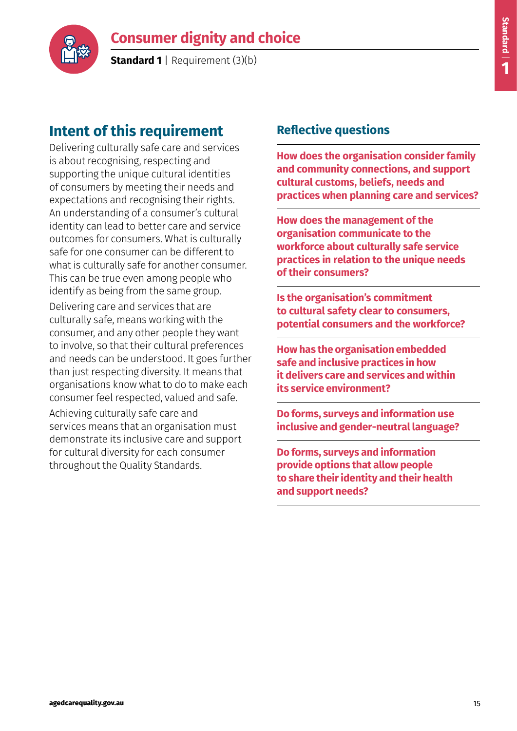

**Standard 1** | Requirement (3)(b)

# **Intent of this requirement**

Delivering culturally safe care and services is about recognising, respecting and supporting the unique cultural identities of consumers by meeting their needs and expectations and recognising their rights. An understanding of a consumer's cultural identity can lead to better care and service outcomes for consumers. What is culturally safe for one consumer can be different to what is culturally safe for another consumer. This can be true even among people who identify as being from the same group.

Delivering care and services that are culturally safe, means working with the consumer, and any other people they want to involve, so that their cultural preferences and needs can be understood. It goes further than just respecting diversity. It means that organisations know what to do to make each consumer feel respected, valued and safe. Achieving culturally safe care and services means that an organisation must demonstrate its inclusive care and support for cultural diversity for each consumer throughout the Quality Standards.

### **Reflective questions**

**How does the organisation consider family and community connections, and support cultural customs, beliefs, needs and practices when planning care and services?**

**How does the management of the organisation communicate to the workforce about culturally safe service practices in relation to the unique needs of their consumers?**

**Is the organisation's commitment to cultural safety clear to consumers, potential consumers and the workforce?**

**How has the organisation embedded safe and inclusive practices in how it delivers care and services and within its service environment?**

**Do forms, surveys and information use inclusive and gender-neutral language?**

**Do forms, surveys and information provide options that allow people to share their identity and their health and support needs?**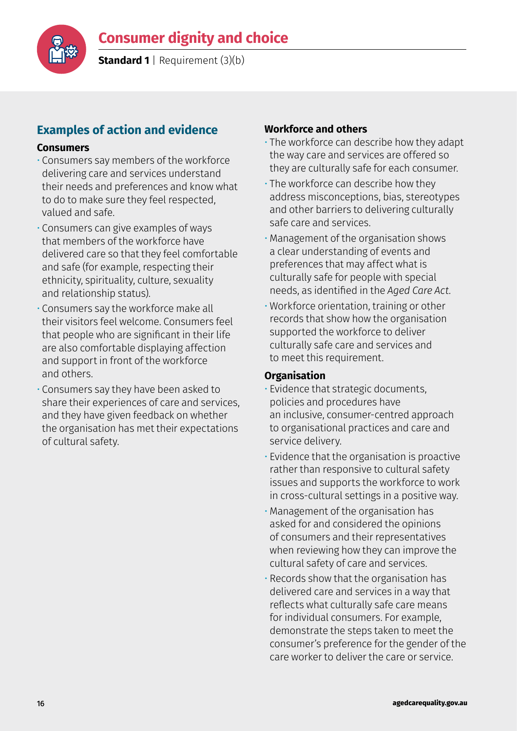

**Standard 1** | Requirement (3)(b)

# **Examples of action and evidence**

#### **Consumers**

- Consumers say members of the workforce delivering care and services understand their needs and preferences and know what to do to make sure they feel respected, valued and safe.
- Consumers can give examples of ways that members of the workforce have delivered care so that they feel comfortable and safe (for example, respecting their ethnicity, spirituality, culture, sexuality and relationship status).
- Consumers say the workforce make all their visitors feel welcome. Consumers feel that people who are significant in their life are also comfortable displaying affection and support in front of the workforce and others.
- Consumers say they have been asked to share their experiences of care and services, and they have given feedback on whether the organisation has met their expectations of cultural safety.

#### **Workforce and others**

- The workforce can describe how they adapt the way care and services are offered so they are culturally safe for each consumer.
- The workforce can describe how they address misconceptions, bias, stereotypes and other barriers to delivering culturally safe care and services.
- Management of the organisation shows a clear understanding of events and preferences that may affect what is culturally safe for people with special needs, as identified in the *Aged Care Act.*
- Workforce orientation, training or other records that show how the organisation supported the workforce to deliver culturally safe care and services and to meet this requirement.

- Evidence that strategic documents, policies and procedures have an inclusive, consumer-centred approach to organisational practices and care and service delivery.
- Evidence that the organisation is proactive rather than responsive to cultural safety issues and supports the workforce to work in cross-cultural settings in a positive way.
- Management of the organisation has asked for and considered the opinions of consumers and their representatives when reviewing how they can improve the cultural safety of care and services.
- Records show that the organisation has delivered care and services in a way that reflects what culturally safe care means for individual consumers. For example, demonstrate the steps taken to meet the consumer's preference for the gender of the care worker to deliver the care or service.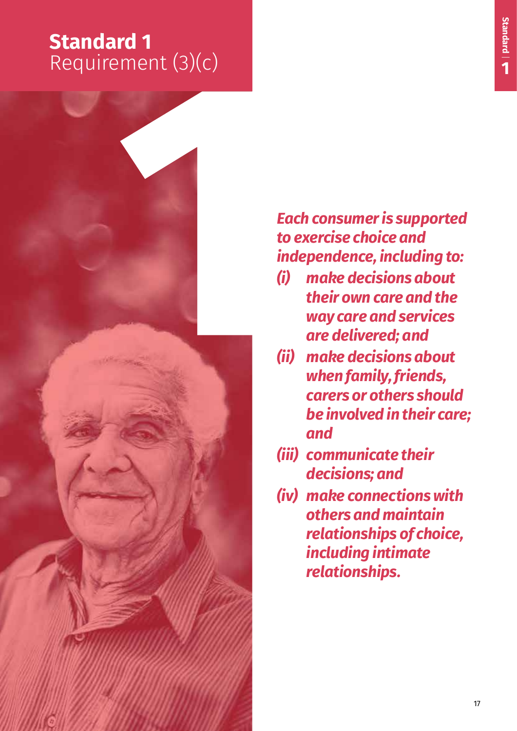# **Standard 1**  Requirement (3)(c)



# *Each consumer is supported to exercise choice and independence, including to:*

- *(i) make decisions about their own care and the way care and services are delivered; and*
- *(ii) make decisions about when family, friends, carers or others should be involved in their care; and*
- *(iii) communicate their decisions; and*
- *(iv) make connections with others and maintain relationships of choice, including intimate relationships.*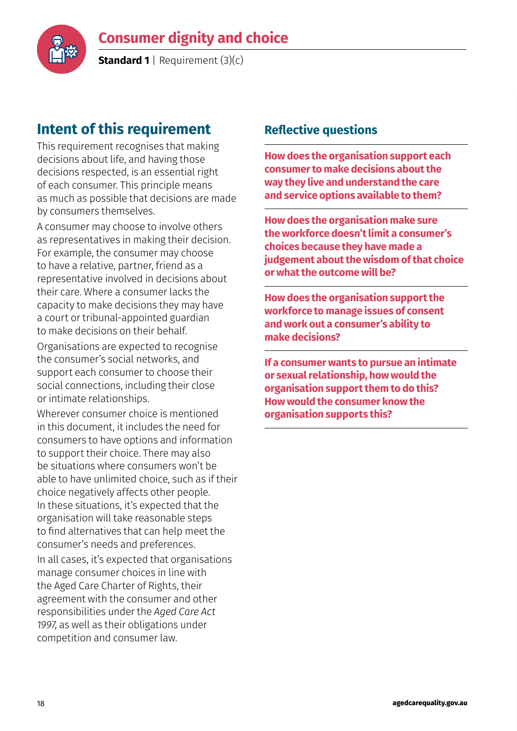

**Standard 1** | Requirement (3)(c)

# **Intent of this requirement**

This requirement recognises that making decisions about life, and having those decisions respected, is an essential right of each consumer. This principle means as much as possible that decisions are made by consumers themselves.

A consumer may choose to involve others as representatives in making their decision. For example, the consumer may choose to have a relative, partner, friend as a representative involved in decisions about their care. Where a consumer lacks the capacity to make decisions they may have a court or tribunal-appointed guardian to make decisions on their behalf.

Organisations are expected to recognise the consumer's social networks, and support each consumer to choose their social connections, including their close or intimate relationships.

Wherever consumer choice is mentioned in this document, it includes the need for consumers to have options and information to support their choice. There may also be situations where consumers won't be able to have unlimited choice, such as if their choice negatively affects other people. In these situations, it's expected that the organisation will take reasonable steps to find alternatives that can help meet the consumer's needs and preferences.

In all cases, it's expected that organisations manage consumer choices in line with the Aged Care Charter of Rights, their agreement with the consumer and other responsibilities under the *Aged Care Act 1997*, as well as their obligations under competition and consumer law.

## **Reflective questions**

**How does the organisation support each consumer to make decisions about the way they live and understand the care and service options available to them?**

**How does the organisation make sure the workforce doesn't limit a consumer's choices because they have made a judgement about the wisdom of that choice or what the outcome will be?** 

**How does the organisation support the workforce to manage issues of consent and work out a consumer's ability to make decisions?**

**If a consumer wants to pursue an intimate or sexual relationship, how would the organisation support them to do this? How would the consumer know the organisation supports this?**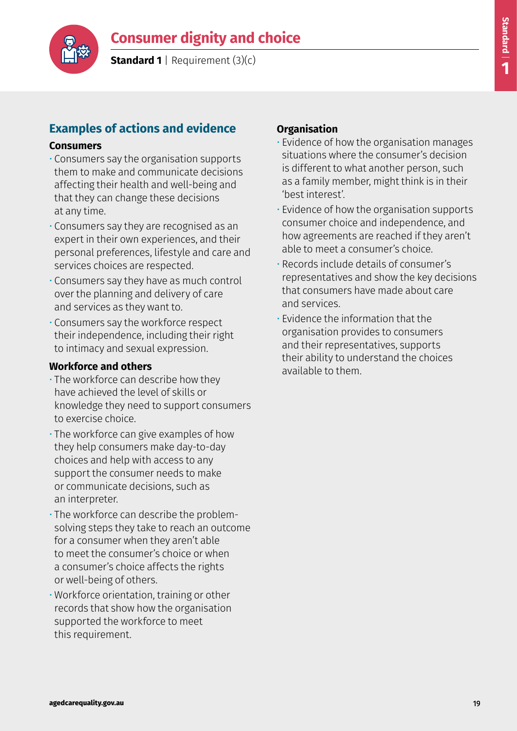



**Standard 1** | Requirement (3)(c)

# **Examples of actions and evidence**

#### **Consumers**

- Consumers say the organisation supports them to make and communicate decisions affecting their health and well-being and that they can change these decisions at any time.
- Consumers say they are recognised as an expert in their own experiences, and their personal preferences, lifestyle and care and services choices are respected.
- Consumers say they have as much control over the planning and delivery of care and services as they want to.
- Consumers say the workforce respect their independence, including their right to intimacy and sexual expression.

#### **Workforce and others**

- The workforce can describe how they have achieved the level of skills or knowledge they need to support consumers to exercise choice.
- The workforce can give examples of how they help consumers make day-to-day choices and help with access to any support the consumer needs to make or communicate decisions, such as an interpreter.
- The workforce can describe the problemsolving steps they take to reach an outcome for a consumer when they aren't able to meet the consumer's choice or when a consumer's choice affects the rights or well-being of others.
- Workforce orientation, training or other records that show how the organisation supported the workforce to meet this requirement.

- Evidence of how the organisation manages situations where the consumer's decision is different to what another person, such as a family member, might think is in their 'best interest'.
- Evidence of how the organisation supports consumer choice and independence, and how agreements are reached if they aren't able to meet a consumer's choice.
- Records include details of consumer's representatives and show the key decisions that consumers have made about care and services.
- Evidence the information that the organisation provides to consumers and their representatives, supports their ability to understand the choices available to them.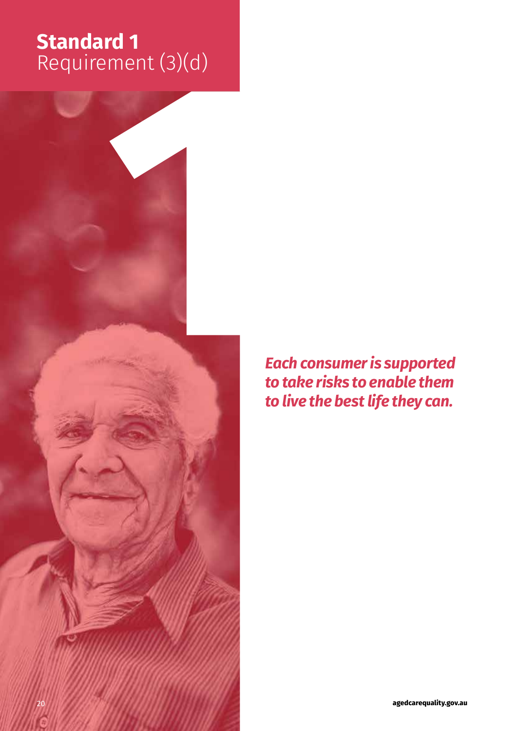# **Standard 1**  Requirement (3)(d)



*Each consumer is supported to take risks to enable them to live the best life they can.*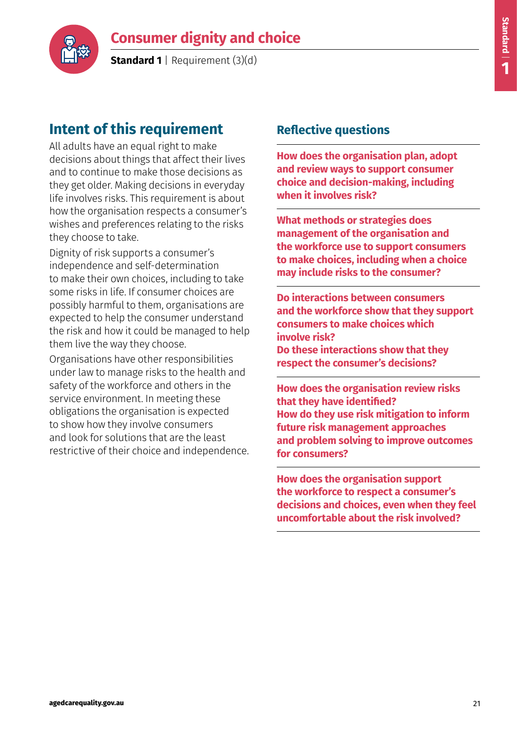

**Standard 1** | Requirement (3)(d)

# **Intent of this requirement**

All adults have an equal right to make decisions about things that affect their lives and to continue to make those decisions as they get older. Making decisions in everyday life involves risks. This requirement is about how the organisation respects a consumer's wishes and preferences relating to the risks they choose to take.

Dignity of risk supports a consumer's independence and self-determination to make their own choices, including to take some risks in life. If consumer choices are possibly harmful to them, organisations are expected to help the consumer understand the risk and how it could be managed to help them live the way they choose.

Organisations have other responsibilities under law to manage risks to the health and safety of the workforce and others in the service environment. In meeting these obligations the organisation is expected to show how they involve consumers and look for solutions that are the least restrictive of their choice and independence.

### **Reflective questions**

**How does the organisation plan, adopt and review ways to support consumer choice and decision-making, including when it involves risk?**

**What methods or strategies does management of the organisation and the workforce use to support consumers to make choices, including when a choice may include risks to the consumer?**

**Do interactions between consumers and the workforce show that they support consumers to make choices which involve risk? Do these interactions show that they respect the consumer's decisions?**

**How does the organisation review risks that they have identified? How do they use risk mitigation to inform future risk management approaches and problem solving to improve outcomes for consumers?**

**How does the organisation support the workforce to respect a consumer's decisions and choices, even when they feel uncomfortable about the risk involved?**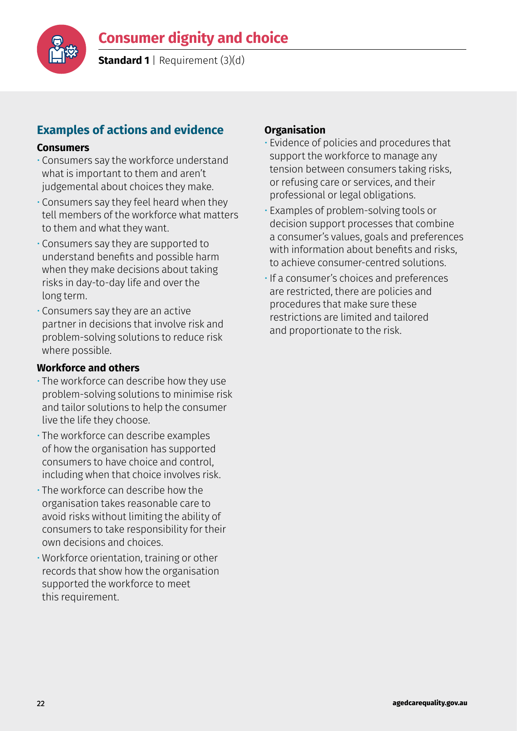

**Standard 1** | Requirement (3)(d)

# **Examples of actions and evidence**

#### **Consumers**

- Consumers say the workforce understand what is important to them and aren't judgemental about choices they make.
- Consumers say they feel heard when they tell members of the workforce what matters to them and what they want.
- Consumers say they are supported to understand benefits and possible harm when they make decisions about taking risks in day-to-day life and over the long term.
- Consumers say they are an active partner in decisions that involve risk and problem-solving solutions to reduce risk where possible.

#### **Workforce and others**

- The workforce can describe how they use problem-solving solutions to minimise risk and tailor solutions to help the consumer live the life they choose.
- The workforce can describe examples of how the organisation has supported consumers to have choice and control, including when that choice involves risk.
- The workforce can describe how the organisation takes reasonable care to avoid risks without limiting the ability of consumers to take responsibility for their own decisions and choices.
- Workforce orientation, training or other records that show how the organisation supported the workforce to meet this requirement.

- Evidence of policies and procedures that support the workforce to manage any tension between consumers taking risks, or refusing care or services, and their professional or legal obligations.
- Examples of problem-solving tools or decision support processes that combine a consumer's values, goals and preferences with information about benefits and risks, to achieve consumer-centred solutions.
- If a consumer's choices and preferences are restricted, there are policies and procedures that make sure these restrictions are limited and tailored and proportionate to the risk.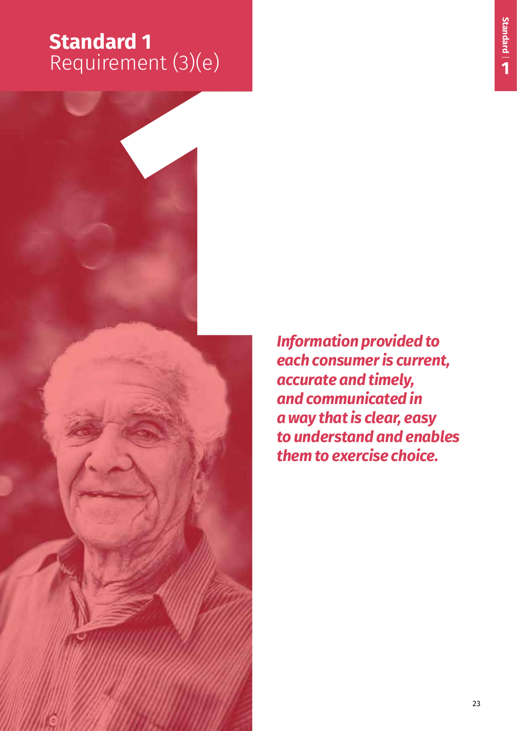# **Standard 1**  Requirement (3)(e)



*Information provided to each consumer is current, accurate and timely, and communicated in a way that is clear, easy to understand and enables them to exercise choice.*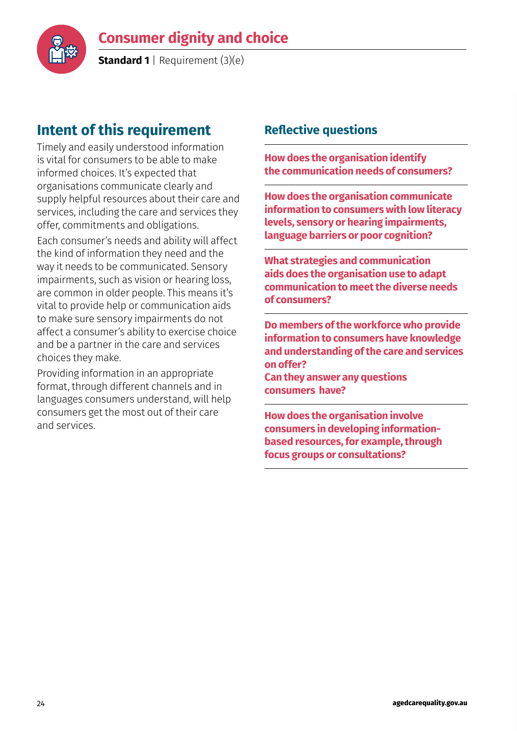

**Standard 1** | Requirement (3)(e)

# **Intent of this requirement**

Timely and easily understood information is vital for consumers to be able to make informed choices. It's expected that organisations communicate clearly and supply helpful resources about their care and services, including the care and services they offer, commitments and obligations.

Each consumer's needs and ability will affect the kind of information they need and the way it needs to be communicated. Sensory impairments, such as vision or hearing loss, are common in older people. This means it's vital to provide help or communication aids to make sure sensory impairments do not affect a consumer's ability to exercise choice and be a partner in the care and services choices they make.

Providing information in an appropriate format, through different channels and in languages consumers understand, will help consumers get the most out of their care and services.

### **Reflective questions**

**How does the organisation identify the communication needs of consumers?**

**How does the organisation communicate information to consumers with low literacy levels, sensory or hearing impairments, language barriers or poor cognition?**

**What strategies and communication aids does the organisation use to adapt communication to meet the diverse needs of consumers?**

**Do members of the workforce who provide information to consumers have knowledge and understanding of the care and services on offer?** 

**Can they answer any questions consumers have?**

**How does the organisation involve consumers in developing informationbased resources, for example, through focus groups or consultations?**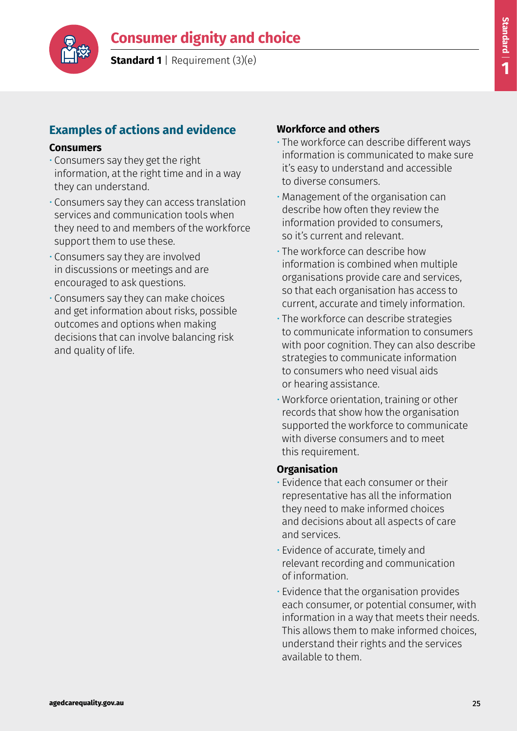

**Standard 1** | Requirement (3)(e)

# **Examples of actions and evidence**

#### **Consumers**

- Consumers say they get the right information, at the right time and in a way they can understand.
- Consumers say they can access translation services and communication tools when they need to and members of the workforce support them to use these.
- Consumers say they are involved in discussions or meetings and are encouraged to ask questions.
- Consumers say they can make choices and get information about risks, possible outcomes and options when making decisions that can involve balancing risk and quality of life.

### **Workforce and others**

- The workforce can describe different ways information is communicated to make sure it's easy to understand and accessible to diverse consumers.
- Management of the organisation can describe how often they review the information provided to consumers, so it's current and relevant.
- The workforce can describe how information is combined when multiple organisations provide care and services, so that each organisation has access to current, accurate and timely information.
- The workforce can describe strategies to communicate information to consumers with poor cognition. They can also describe strategies to communicate information to consumers who need visual aids or hearing assistance.
- Workforce orientation, training or other records that show how the organisation supported the workforce to communicate with diverse consumers and to meet this requirement.

- Evidence that each consumer or their representative has all the information they need to make informed choices and decisions about all aspects of care and services.
- Evidence of accurate, timely and relevant recording and communication of information.
- Evidence that the organisation provides each consumer, or potential consumer, with information in a way that meets their needs. This allows them to make informed choices, understand their rights and the services available to them.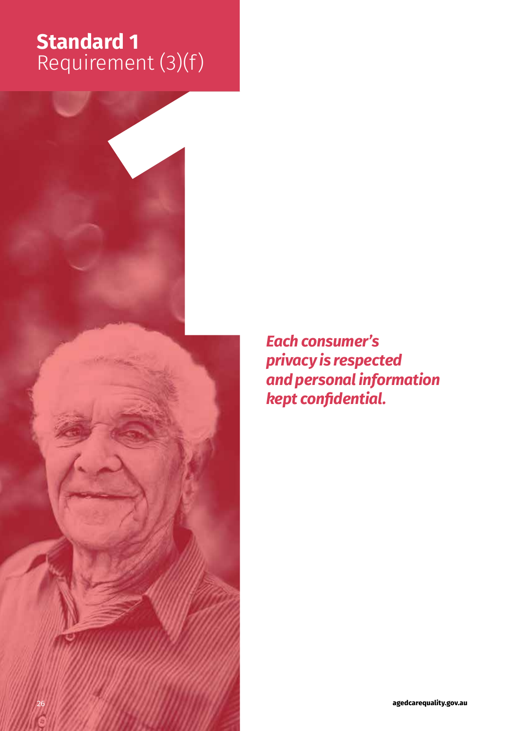# **Standard 1**  Requirement (3)(f)



*Each consumer's privacy is respected and personal information kept confidential.*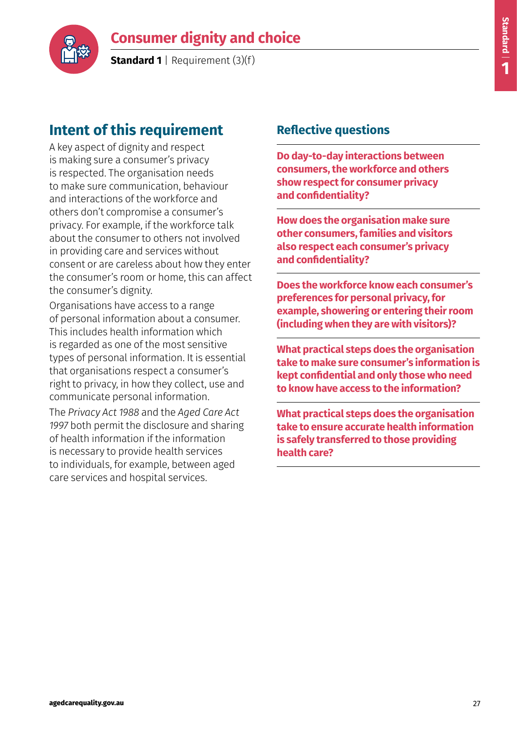

**Standard 1** | Requirement (3)(f)

# **Intent of this requirement**

A key aspect of dignity and respect is making sure a consumer's privacy is respected. The organisation needs to make sure communication, behaviour and interactions of the workforce and others don't compromise a consumer's privacy. For example, if the workforce talk about the consumer to others not involved in providing care and services without consent or are careless about how they enter the consumer's room or home, this can affect the consumer's dignity.

Organisations have access to a range of personal information about a consumer. This includes health information which is regarded as one of the most sensitive types of personal information. It is essential that organisations respect a consumer's right to privacy, in how they collect, use and communicate personal information.

The *Privacy Act 1988* and the *Aged Care Act 1997* both permit the disclosure and sharing of health information if the information is necessary to provide health services to individuals, for example, between aged care services and hospital services.

### **Reflective questions**

**Do day-to-day interactions between consumers, the workforce and others show respect for consumer privacy and confidentiality?**

**How does the organisation make sure other consumers, families and visitors also respect each consumer's privacy and confidentiality?**

**Does the workforce know each consumer's preferences for personal privacy, for example, showering or entering their room (including when they are with visitors)?**

**What practical steps does the organisation take to make sure consumer's information is kept confidential and only those who need to know have access to the information?**

**What practical steps does the organisation take to ensure accurate health information is safely transferred to those providing health care?**